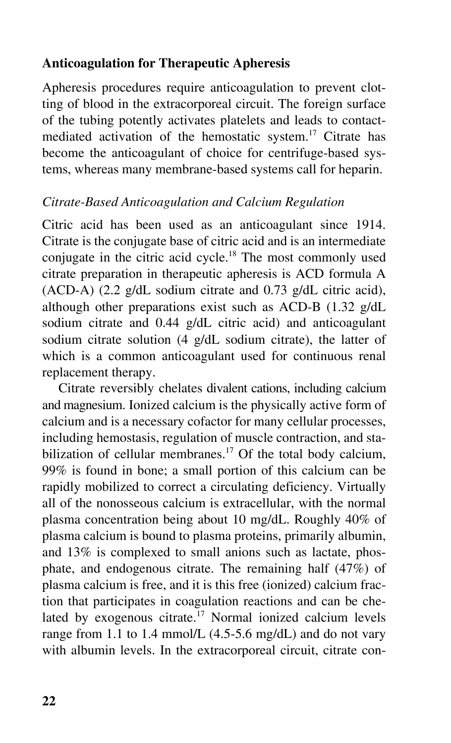## **Anticoagulation for Therapeutic Apheresis**

Apheresis procedures require anticoagulation to prevent clotting of blood in the extracorporeal circuit. The foreign surface of the tubing potently activates platelets and leads to contactmediated activation of the hemostatic system.<sup>17</sup> Citrate has become the anticoagulant of choice for centrifuge-based systems, whereas many membrane-based systems call for heparin.

## *Citrate-Based Anticoagulation and Calcium Regulation*

Citric acid has been used as an anticoagulant since 1914. Citrate is the conjugate base of citric acid and is an intermediate conjugate in the citric acid cycle.<sup>18</sup> The most commonly used citrate preparation in therapeutic apheresis is ACD formula A (ACD-A) (2.2 g/dL sodium citrate and 0.73 g/dL citric acid), although other preparations exist such as ACD-B (1.32 g/dL sodium citrate and 0.44 g/dL citric acid) and anticoagulant sodium citrate solution (4 g/dL sodium citrate), the latter of which is a common anticoagulant used for continuous renal replacement therapy.

Citrate reversibly chelates divalent cations, including calcium and magnesium. Ionized calcium is the physically active form of calcium and is a necessary cofactor for many cellular processes, including hemostasis, regulation of muscle contraction, and stabilization of cellular membranes.<sup>17</sup> Of the total body calcium, 99% is found in bone; a small portion of this calcium can be rapidly mobilized to correct a circulating deficiency. Virtually all of the nonosseous calcium is extracellular, with the normal plasma concentration being about 10 mg/dL. Roughly 40% of plasma calcium is bound to plasma proteins, primarily albumin, and 13% is complexed to small anions such as lactate, phosphate, and endogenous citrate. The remaining half (47%) of plasma calcium is free, and it is this free (ionized) calcium fraction that participates in coagulation reactions and can be chelated by exogenous citrate.<sup>17</sup> Normal ionized calcium levels range from 1.1 to 1.4 mmol/L (4.5-5.6 mg/dL) and do not vary with albumin levels. In the extracorporeal circuit, citrate con-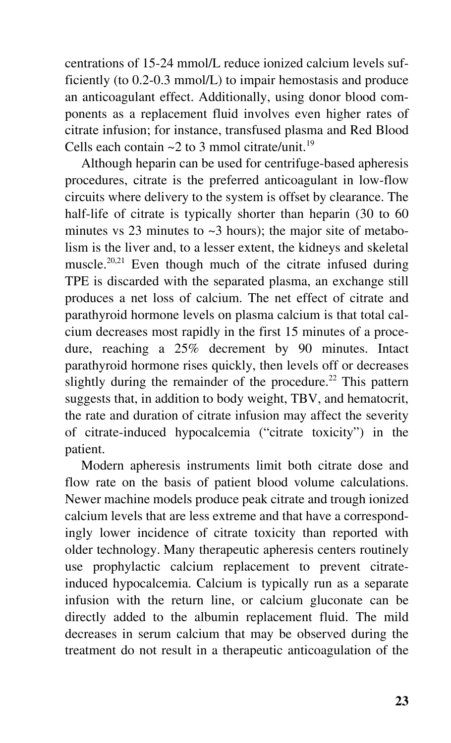centrations of 15-24 mmol/L reduce ionized calcium levels sufficiently (to 0.2-0.3 mmol/L) to impair hemostasis and produce an anticoagulant effect. Additionally, using donor blood components as a replacement fluid involves even higher rates of citrate infusion; for instance, transfused plasma and Red Blood Cells each contain  $\sim$ 2 to 3 mmol citrate/unit.<sup>19</sup>

Although heparin can be used for centrifuge-based apheresis procedures, citrate is the preferred anticoagulant in low-flow circuits where delivery to the system is offset by clearance. The half-life of citrate is typically shorter than heparin (30 to 60) minutes vs 23 minutes to  $\sim$ 3 hours); the major site of metabolism is the liver and, to a lesser extent, the kidneys and skeletal muscle.20,21 Even though much of the citrate infused during TPE is discarded with the separated plasma, an exchange still produces a net loss of calcium. The net effect of citrate and parathyroid hormone levels on plasma calcium is that total calcium decreases most rapidly in the first 15 minutes of a procedure, reaching a 25% decrement by 90 minutes. Intact parathyroid hormone rises quickly, then levels off or decreases slightly during the remainder of the procedure.<sup>22</sup> This pattern suggests that, in addition to body weight, TBV, and hematocrit, the rate and duration of citrate infusion may affect the severity of citrate-induced hypocalcemia ("citrate toxicity") in the patient.

Modern apheresis instruments limit both citrate dose and flow rate on the basis of patient blood volume calculations. Newer machine models produce peak citrate and trough ionized calcium levels that are less extreme and that have a correspondingly lower incidence of citrate toxicity than reported with older technology. Many therapeutic apheresis centers routinely use prophylactic calcium replacement to prevent citrateinduced hypocalcemia. Calcium is typically run as a separate infusion with the return line, or calcium gluconate can be directly added to the albumin replacement fluid. The mild decreases in serum calcium that may be observed during the treatment do not result in a therapeutic anticoagulation of the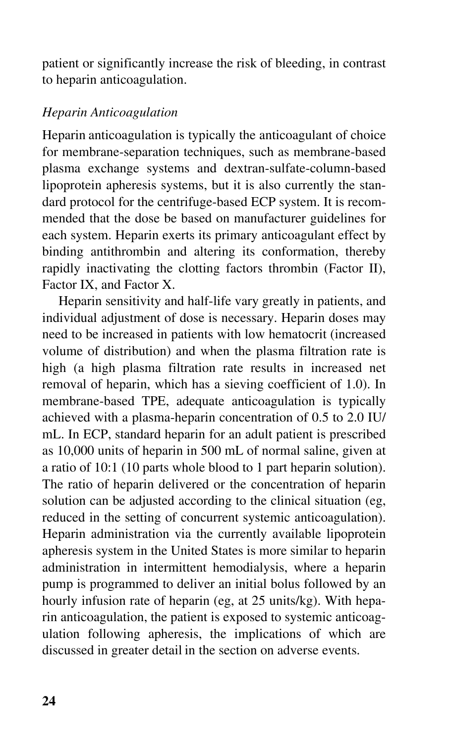patient or significantly increase the risk of bleeding, in contrast to heparin anticoagulation.

## *Heparin Anticoagulation*

Heparin anticoagulation is typically the anticoagulant of choice for membrane-separation techniques, such as membrane-based plasma exchange systems and dextran-sulfate-column-based lipoprotein apheresis systems, but it is also currently the standard protocol for the centrifuge-based ECP system. It is recommended that the dose be based on manufacturer guidelines for each system. Heparin exerts its primary anticoagulant effect by binding antithrombin and altering its conformation, thereby rapidly inactivating the clotting factors thrombin (Factor II), Factor IX, and Factor X.

Heparin sensitivity and half-life vary greatly in patients, and individual adjustment of dose is necessary. Heparin doses may need to be increased in patients with low hematocrit (increased volume of distribution) and when the plasma filtration rate is high (a high plasma filtration rate results in increased net removal of heparin, which has a sieving coefficient of 1.0). In membrane-based TPE, adequate anticoagulation is typically achieved with a plasma-heparin concentration of 0.5 to 2.0 IU/ mL. In ECP, standard heparin for an adult patient is prescribed as 10,000 units of heparin in 500 mL of normal saline, given at a ratio of 10:1 (10 parts whole blood to 1 part heparin solution). The ratio of heparin delivered or the concentration of heparin solution can be adjusted according to the clinical situation (eg, reduced in the setting of concurrent systemic anticoagulation). Heparin administration via the currently available lipoprotein apheresis system in the United States is more similar to heparin administration in intermittent hemodialysis, where a heparin pump is programmed to deliver an initial bolus followed by an hourly infusion rate of heparin (eg, at 25 units/kg). With heparin anticoagulation, the patient is exposed to systemic anticoagulation following apheresis, the implications of which are discussed in greater detail in the section on adverse events.